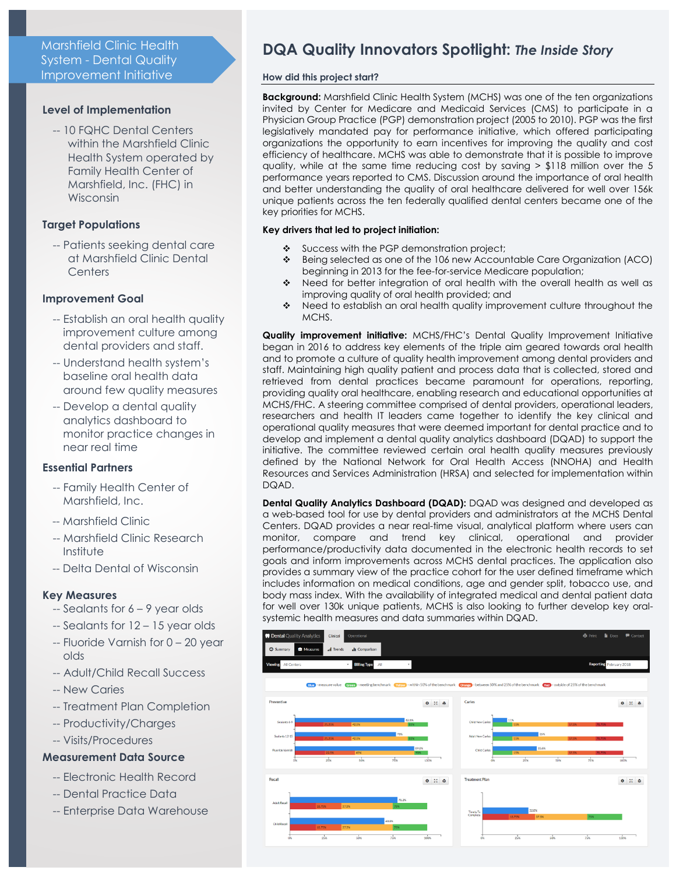# Marshfield Clinic Health System - Dental Quality Improvement Initiative

# **Level of Implementation**

-- 10 FQHC Dental Centers within the Marshfield Clinic Health System operated by Family Health Center of Marshfield, Inc. (FHC) in Wisconsin

# **Target Populations**

-- Patients seeking dental care at Marshfield Clinic Dental **Centers** 

# **Improvement Goal**

- -- Establish an oral health quality improvement culture among dental providers and staff.
- -- Understand health system's baseline oral health data around few quality measures
- -- Develop a dental quality analytics dashboard to monitor practice changes in near real time

# **Essential Partners**

- -- Family Health Center of Marshfield, Inc.
- -- Marshfield Clinic
- -- Marshfield Clinic Research Institute
- -- Delta Dental of Wisconsin

# **Key Measures**

- -- Sealants for 6 9 year olds
- -- Sealants for 12 15 year olds
- -- Fluoride Varnish for 0 20 year olds
- -- Adult/Child Recall Success
- -- New Caries
- -- Treatment Plan Completion
- -- Productivity/Charges
- -- Visits/Procedures

# **Measurement Data Source**

- -- Electronic Health Record
- -- Dental Practice Data
- -- Enterprise Data Warehouse

# **DQA Quality Innovators Spotlight:** *The Inside Story*

## **How did this project start?**

**Background:** Marshfield Clinic Health System (MCHS) was one of the ten organizations invited by Center for Medicare and Medicaid Services (CMS) to participate in a Physician Group Practice (PGP) demonstration project (2005 to 2010). PGP was the first legislatively mandated pay for performance initiative, which offered participating organizations the opportunity to earn incentives for improving the quality and cost efficiency of healthcare. MCHS was able to demonstrate that it is possible to improve quality, while at the same time reducing cost by saving > \$118 million over the 5 performance years reported to CMS. Discussion around the importance of oral health and better understanding the quality of oral healthcare delivered for well over 156k unique patients across the ten federally qualified dental centers became one of the key priorities for MCHS.

## **Key drivers that led to project initiation:**

- Success with the PGP demonstration project;
- Being selected as one of the 106 new Accountable Care Organization (ACO) beginning in 2013 for the fee-for-service Medicare population;
- Need for better integration of oral health with the overall health as well as improving quality of oral health provided; and
- Need to establish an oral health quality improvement culture throughout the MCHS.

**Quality improvement initiative:** MCHS/FHC's Dental Quality Improvement Initiative began in 2016 to address key elements of the triple aim geared towards oral health and to promote a culture of quality health improvement among dental providers and staff. Maintaining high quality patient and process data that is collected, stored and retrieved from dental practices became paramount for operations, reporting, providing quality oral healthcare, enabling research and educational opportunities at MCHS/FHC. A steering committee comprised of dental providers, operational leaders, researchers and health IT leaders came together to identify the key clinical and operational quality measures that were deemed important for dental practice and to develop and implement a dental quality analytics dashboard (DQAD) to support the initiative. The committee reviewed certain oral health quality measures previously defined by the National Network for Oral Health Access (NNOHA) and Health Resources and Services Administration (HRSA) and selected for implementation within DQAD.

**Dental Quality Analytics Dashboard (DQAD):** DQAD was designed and developed as a web-based tool for use by dental providers and administrators at the MCHS Dental Centers. DQAD provides a near real-time visual, analytical platform where users can monitor, compare and trend key clinical, operational and provider performance/productivity data documented in the electronic health records to set goals and inform improvements across MCHS dental practices. The application also provides a summary view of the practice cohort for the user defined timeframe which includes information on medical conditions, age and gender split, tobacco use, and body mass index. With the availability of integrated medical and dental patient data for well over 130k unique patients, MCHS is also looking to further develop key oralsystemic health measures and data summaries within DQAD.